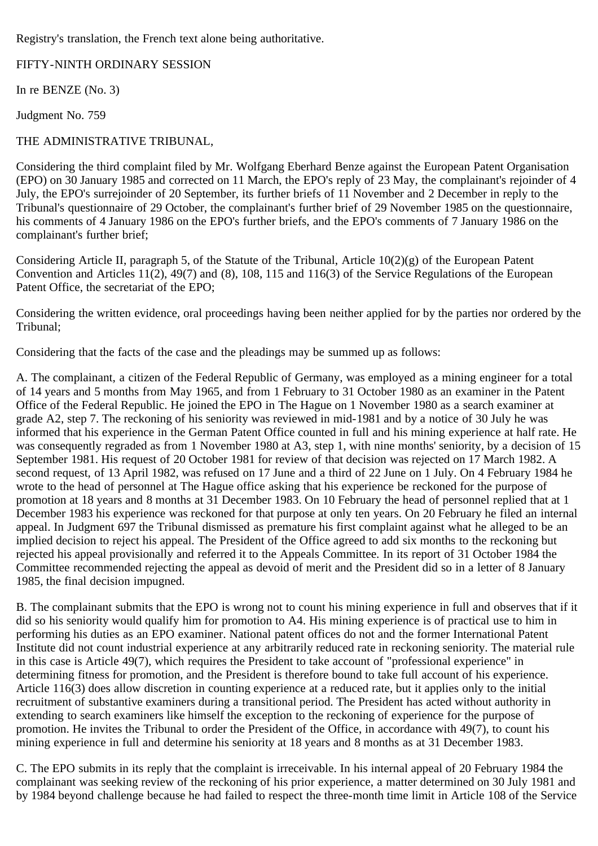Registry's translation, the French text alone being authoritative.

FIFTY-NINTH ORDINARY SESSION

In re BENZE (No. 3)

Judgment No. 759

## THE ADMINISTRATIVE TRIBUNAL,

Considering the third complaint filed by Mr. Wolfgang Eberhard Benze against the European Patent Organisation (EPO) on 30 January 1985 and corrected on 11 March, the EPO's reply of 23 May, the complainant's rejoinder of 4 July, the EPO's surrejoinder of 20 September, its further briefs of 11 November and 2 December in reply to the Tribunal's questionnaire of 29 October, the complainant's further brief of 29 November 1985 on the questionnaire, his comments of 4 January 1986 on the EPO's further briefs, and the EPO's comments of 7 January 1986 on the complainant's further brief;

Considering Article II, paragraph 5, of the Statute of the Tribunal, Article 10(2)(g) of the European Patent Convention and Articles 11(2), 49(7) and (8), 108, 115 and 116(3) of the Service Regulations of the European Patent Office, the secretariat of the EPO;

Considering the written evidence, oral proceedings having been neither applied for by the parties nor ordered by the Tribunal;

Considering that the facts of the case and the pleadings may be summed up as follows:

A. The complainant, a citizen of the Federal Republic of Germany, was employed as a mining engineer for a total of 14 years and 5 months from May 1965, and from 1 February to 31 October 1980 as an examiner in the Patent Office of the Federal Republic. He joined the EPO in The Hague on 1 November 1980 as a search examiner at grade A2, step 7. The reckoning of his seniority was reviewed in mid-1981 and by a notice of 30 July he was informed that his experience in the German Patent Office counted in full and his mining experience at half rate. He was consequently regraded as from 1 November 1980 at A3, step 1, with nine months' seniority, by a decision of 15 September 1981. His request of 20 October 1981 for review of that decision was rejected on 17 March 1982. A second request, of 13 April 1982, was refused on 17 June and a third of 22 June on 1 July. On 4 February 1984 he wrote to the head of personnel at The Hague office asking that his experience be reckoned for the purpose of promotion at 18 years and 8 months at 31 December 1983. On 10 February the head of personnel replied that at 1 December 1983 his experience was reckoned for that purpose at only ten years. On 20 February he filed an internal appeal. In Judgment 697 the Tribunal dismissed as premature his first complaint against what he alleged to be an implied decision to reject his appeal. The President of the Office agreed to add six months to the reckoning but rejected his appeal provisionally and referred it to the Appeals Committee. In its report of 31 October 1984 the Committee recommended rejecting the appeal as devoid of merit and the President did so in a letter of 8 January 1985, the final decision impugned.

B. The complainant submits that the EPO is wrong not to count his mining experience in full and observes that if it did so his seniority would qualify him for promotion to A4. His mining experience is of practical use to him in performing his duties as an EPO examiner. National patent offices do not and the former International Patent Institute did not count industrial experience at any arbitrarily reduced rate in reckoning seniority. The material rule in this case is Article 49(7), which requires the President to take account of "professional experience" in determining fitness for promotion, and the President is therefore bound to take full account of his experience. Article 116(3) does allow discretion in counting experience at a reduced rate, but it applies only to the initial recruitment of substantive examiners during a transitional period. The President has acted without authority in extending to search examiners like himself the exception to the reckoning of experience for the purpose of promotion. He invites the Tribunal to order the President of the Office, in accordance with 49(7), to count his mining experience in full and determine his seniority at 18 years and 8 months as at 31 December 1983.

C. The EPO submits in its reply that the complaint is irreceivable. In his internal appeal of 20 February 1984 the complainant was seeking review of the reckoning of his prior experience, a matter determined on 30 July 1981 and by 1984 beyond challenge because he had failed to respect the three-month time limit in Article 108 of the Service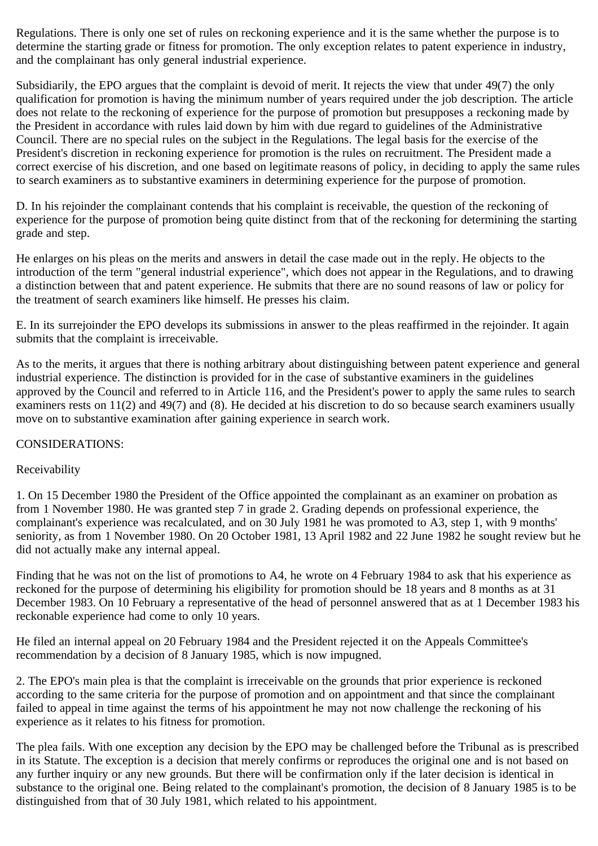Regulations. There is only one set of rules on reckoning experience and it is the same whether the purpose is to determine the starting grade or fitness for promotion. The only exception relates to patent experience in industry, and the complainant has only general industrial experience.

Subsidiarily, the EPO argues that the complaint is devoid of merit. It rejects the view that under 49(7) the only qualification for promotion is having the minimum number of years required under the job description. The article does not relate to the reckoning of experience for the purpose of promotion but presupposes a reckoning made by the President in accordance with rules laid down by him with due regard to guidelines of the Administrative Council. There are no special rules on the subject in the Regulations. The legal basis for the exercise of the President's discretion in reckoning experience for promotion is the rules on recruitment. The President made a correct exercise of his discretion, and one based on legitimate reasons of policy, in deciding to apply the same rules to search examiners as to substantive examiners in determining experience for the purpose of promotion.

D. In his rejoinder the complainant contends that his complaint is receivable, the question of the reckoning of experience for the purpose of promotion being quite distinct from that of the reckoning for determining the starting grade and step.

He enlarges on his pleas on the merits and answers in detail the case made out in the reply. He objects to the introduction of the term "general industrial experience", which does not appear in the Regulations, and to drawing a distinction between that and patent experience. He submits that there are no sound reasons of law or policy for the treatment of search examiners like himself. He presses his claim.

E. In its surrejoinder the EPO develops its submissions in answer to the pleas reaffirmed in the rejoinder. It again submits that the complaint is irreceivable.

As to the merits, it argues that there is nothing arbitrary about distinguishing between patent experience and general industrial experience. The distinction is provided for in the case of substantive examiners in the guidelines approved by the Council and referred to in Article 116, and the President's power to apply the same rules to search examiners rests on 11(2) and 49(7) and (8). He decided at his discretion to do so because search examiners usually move on to substantive examination after gaining experience in search work.

## CONSIDERATIONS:

## Receivability

1. On 15 December 1980 the President of the Office appointed the complainant as an examiner on probation as from 1 November 1980. He was granted step 7 in grade 2. Grading depends on professional experience, the complainant's experience was recalculated, and on 30 July 1981 he was promoted to A3, step 1, with 9 months' seniority, as from 1 November 1980. On 20 October 1981, 13 April 1982 and 22 June 1982 he sought review but he did not actually make any internal appeal.

Finding that he was not on the list of promotions to A4, he wrote on 4 February 1984 to ask that his experience as reckoned for the purpose of determining his eligibility for promotion should be 18 years and 8 months as at 31 December 1983. On 10 February a representative of the head of personnel answered that as at 1 December 1983 his reckonable experience had come to only 10 years.

He filed an internal appeal on 20 February 1984 and the President rejected it on the Appeals Committee's recommendation by a decision of 8 January 1985, which is now impugned.

2. The EPO's main plea is that the complaint is irreceivable on the grounds that prior experience is reckoned according to the same criteria for the purpose of promotion and on appointment and that since the complainant failed to appeal in time against the terms of his appointment he may not now challenge the reckoning of his experience as it relates to his fitness for promotion.

The plea fails. With one exception any decision by the EPO may be challenged before the Tribunal as is prescribed in its Statute. The exception is a decision that merely confirms or reproduces the original one and is not based on any further inquiry or any new grounds. But there will be confirmation only if the later decision is identical in substance to the original one. Being related to the complainant's promotion, the decision of 8 January 1985 is to be distinguished from that of 30 July 1981, which related to his appointment.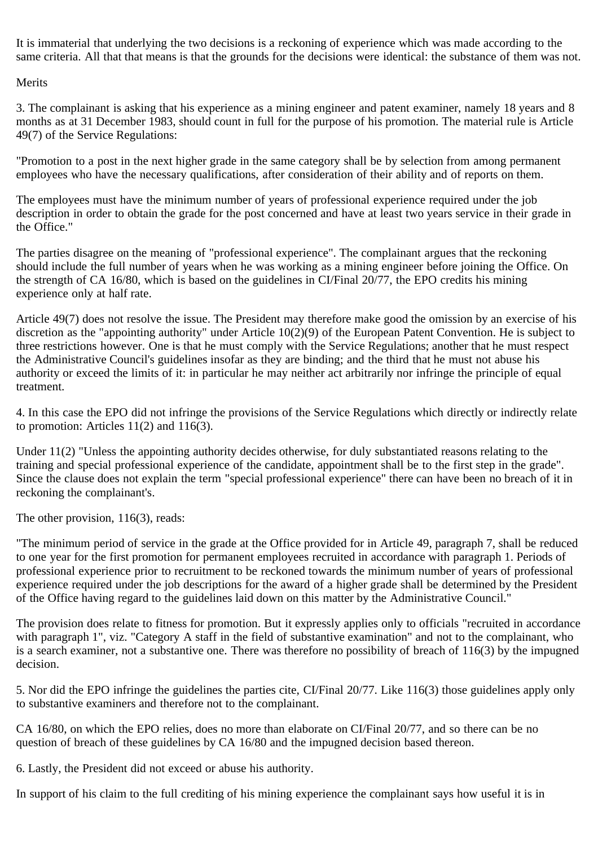It is immaterial that underlying the two decisions is a reckoning of experience which was made according to the same criteria. All that that means is that the grounds for the decisions were identical: the substance of them was not.

Merits

3. The complainant is asking that his experience as a mining engineer and patent examiner, namely 18 years and 8 months as at 31 December 1983, should count in full for the purpose of his promotion. The material rule is Article 49(7) of the Service Regulations:

"Promotion to a post in the next higher grade in the same category shall be by selection from among permanent employees who have the necessary qualifications, after consideration of their ability and of reports on them.

The employees must have the minimum number of years of professional experience required under the job description in order to obtain the grade for the post concerned and have at least two years service in their grade in the Office."

The parties disagree on the meaning of "professional experience". The complainant argues that the reckoning should include the full number of years when he was working as a mining engineer before joining the Office. On the strength of CA 16/80, which is based on the guidelines in CI/Final 20/77, the EPO credits his mining experience only at half rate.

Article 49(7) does not resolve the issue. The President may therefore make good the omission by an exercise of his discretion as the "appointing authority" under Article 10(2)(9) of the European Patent Convention. He is subject to three restrictions however. One is that he must comply with the Service Regulations; another that he must respect the Administrative Council's guidelines insofar as they are binding; and the third that he must not abuse his authority or exceed the limits of it: in particular he may neither act arbitrarily nor infringe the principle of equal treatment.

4. In this case the EPO did not infringe the provisions of the Service Regulations which directly or indirectly relate to promotion: Articles  $11(2)$  and  $116(3)$ .

Under 11(2) "Unless the appointing authority decides otherwise, for duly substantiated reasons relating to the training and special professional experience of the candidate, appointment shall be to the first step in the grade". Since the clause does not explain the term "special professional experience" there can have been no breach of it in reckoning the complainant's.

The other provision, 116(3), reads:

"The minimum period of service in the grade at the Office provided for in Article 49, paragraph 7, shall be reduced to one year for the first promotion for permanent employees recruited in accordance with paragraph 1. Periods of professional experience prior to recruitment to be reckoned towards the minimum number of years of professional experience required under the job descriptions for the award of a higher grade shall be determined by the President of the Office having regard to the guidelines laid down on this matter by the Administrative Council."

The provision does relate to fitness for promotion. But it expressly applies only to officials "recruited in accordance with paragraph 1", viz. "Category A staff in the field of substantive examination" and not to the complainant, who is a search examiner, not a substantive one. There was therefore no possibility of breach of 116(3) by the impugned decision.

5. Nor did the EPO infringe the guidelines the parties cite, CI/Final 20/77. Like 116(3) those guidelines apply only to substantive examiners and therefore not to the complainant.

CA 16/80, on which the EPO relies, does no more than elaborate on CI/Final 20/77, and so there can be no question of breach of these guidelines by CA 16/80 and the impugned decision based thereon.

6. Lastly, the President did not exceed or abuse his authority.

In support of his claim to the full crediting of his mining experience the complainant says how useful it is in